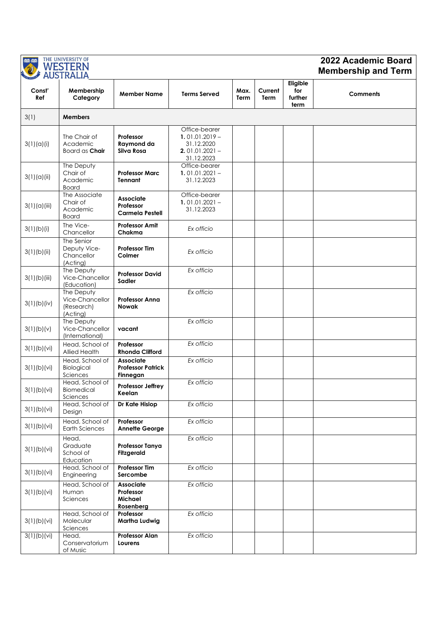|               | THE UNIVERSITY OF<br><b>WESTERN</b><br><b>AUSTRALIA</b> | 2022 Academic Board<br><b>Membership and Term</b>        |                                                                                   |              |                 |                                    |                 |
|---------------|---------------------------------------------------------|----------------------------------------------------------|-----------------------------------------------------------------------------------|--------------|-----------------|------------------------------------|-----------------|
| Const'<br>Ref | Membership<br>Category                                  | <b>Member Name</b>                                       | <b>Terms Served</b>                                                               | Max.<br>Term | Current<br>Term | Eligible<br>for<br>further<br>term | <b>Comments</b> |
| 3(1)          | <b>Members</b>                                          |                                                          |                                                                                   |              |                 |                                    |                 |
| 3(1)(a)(i)    | The Chair of<br>Academic<br>Board as <b>Chair</b>       | Professor<br>Raymond da<br>Silva Rosa                    | Office-bearer<br>$1.01.01.2019 -$<br>31.12.2020<br>$2.01.01.2021 -$<br>31.12.2023 |              |                 |                                    |                 |
| 3(1)(a)(ii)   | The Deputy<br>Chair of<br>Academic<br><b>Board</b>      | <b>Professor Marc</b><br>Tennant                         | Office-bearer<br>$1.01.01.2021 -$<br>31.12.2023                                   |              |                 |                                    |                 |
| 3(1)(a)(iii)  | The Associate<br>Chair of<br>Academic<br><b>Board</b>   | <b>Associate</b><br>Professor<br><b>Carmela Pestell</b>  | Office-bearer<br>$1.01.01.2021 -$<br>31.12.2023                                   |              |                 |                                    |                 |
| 3(1)(b)(i)    | The Vice-<br>Chancellor                                 | <b>Professor Amit</b><br>Chakma                          | Ex officio                                                                        |              |                 |                                    |                 |
| 3(1)(b)(ii)   | The Senior<br>Deputy Vice-<br>Chancellor<br>(Acting)    | <b>Professor Tim</b><br>Colmer                           | Ex officio                                                                        |              |                 |                                    |                 |
| 3(1)(b)(iii)  | The Deputy<br>Vice-Chancellor<br>(Education)            | <b>Professor David</b><br>Sadler                         | Ex officio                                                                        |              |                 |                                    |                 |
| 3(1)(b)(iv)   | The Deputy<br>Vice-Chancellor<br>(Research)<br>(Acting) | <b>Professor Anna</b><br><b>Nowak</b>                    | Ex officio                                                                        |              |                 |                                    |                 |
| 3(1)(b)(v)    | The Deputy<br>Vice-Chancellor<br>(International)        | vacant                                                   | Ex officio                                                                        |              |                 |                                    |                 |
| 3(1)(b)(vi)   | Head, School of<br>Allied Health                        | Professor<br><b>Rhonda Clifford</b>                      | Ex officio                                                                        |              |                 |                                    |                 |
| 3(1)(b)(vi)   | Head, School of<br>Biological<br>Sciences               | <b>Associate</b><br><b>Professor Patrick</b><br>Finnegan | Ex officio                                                                        |              |                 |                                    |                 |
| 3(1)(b)(vi)   | Head, School of<br>Biomedical<br>Sciences               | Professor Jeffrey<br>Keelan                              | Ex officio                                                                        |              |                 |                                    |                 |
| 3(1)(b)(vi)   | Head, School of<br>Design                               | Dr Kate Hislop                                           | Ex officio                                                                        |              |                 |                                    |                 |
| 3(1)(b)(vi)   | Head, School of<br><b>Earth Sciences</b>                | Professor<br><b>Annette George</b>                       | Ex officio                                                                        |              |                 |                                    |                 |
| 3(1)(b)(vi)   | Head,<br>Graduate<br>School of<br>Education             | <b>Professor Tanya</b><br><b>Fitzgerald</b>              | Ex officio                                                                        |              |                 |                                    |                 |
| 3(1)(b)(vi)   | Head, School of<br>Engineering                          | <b>Professor Tim</b><br>Sercombe                         | Ex officio                                                                        |              |                 |                                    |                 |
| 3(1)(b)(vi)   | Head, School of<br>Human<br>Sciences                    | <b>Associate</b><br>Professor<br>Michael<br>Rosenberg    | Ex officio                                                                        |              |                 |                                    |                 |
| 3(1)(b)(vi)   | Head, School of<br>Molecular<br>Sciences                | Professor<br>Martha Ludwig                               | Ex officio                                                                        |              |                 |                                    |                 |
| 3(1)(b)(vi)   | Head,<br>Conservatorium<br>of Music                     | <b>Professor Alan</b><br>Lourens                         | Ex officio                                                                        |              |                 |                                    |                 |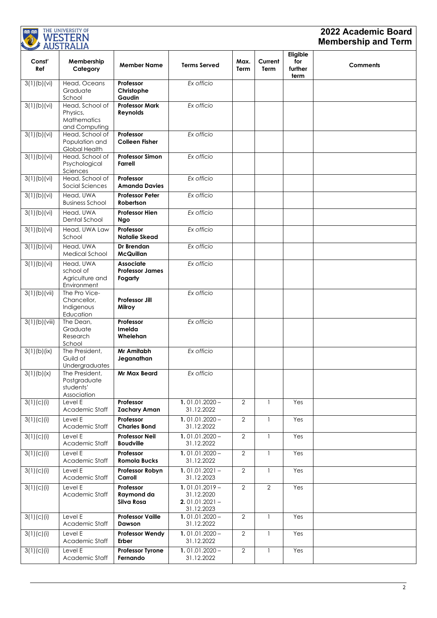| THE UNIVERSITY OF<br>興趣<br><b>WESTERN</b><br><b>AUSTRALIA</b> |                                                             |                                                       |                                                                  |                |                 |                                    | 2022 Academic Board<br><b>Membership and Term</b> |
|---------------------------------------------------------------|-------------------------------------------------------------|-------------------------------------------------------|------------------------------------------------------------------|----------------|-----------------|------------------------------------|---------------------------------------------------|
| Const'<br>Ref                                                 | Membership<br>Category                                      | <b>Member Name</b>                                    | <b>Terms Served</b>                                              | Max.<br>Term   | Current<br>Term | Eligible<br>for<br>further<br>term | <b>Comments</b>                                   |
| 3(1)(b)(vi)                                                   | Head, Oceans<br>Graduate<br>School                          | Professor<br>Christophe<br>Gaudin                     | Ex officio                                                       |                |                 |                                    |                                                   |
| 3(1)(b)(vi)                                                   | Head, School of<br>Physics,<br>Mathematics<br>and Computing | <b>Professor Mark</b><br>Reynolds                     | Ex officio                                                       |                |                 |                                    |                                                   |
| 3(1)(b)(vi)                                                   | Head, School of<br>Population and<br>Global Health          | Professor<br><b>Colleen Fisher</b>                    | Ex officio                                                       |                |                 |                                    |                                                   |
| 3(1)(b)(vi)                                                   | Head, School of<br>Psychological<br>Sciences                | <b>Professor Simon</b><br><b>Farrell</b>              | Ex officio                                                       |                |                 |                                    |                                                   |
| $\overline{3(1)(b)(vi)}$                                      | Head, School of<br>Social Sciences                          | Professor<br><b>Amanda Davies</b>                     | Ex officio                                                       |                |                 |                                    |                                                   |
| 3(1)(b)(vi)                                                   | Head, UWA<br><b>Business School</b>                         | <b>Professor Peter</b><br>Robertson                   | Ex officio                                                       |                |                 |                                    |                                                   |
| 3(1)(b)(vi)                                                   | Head, UWA<br>Dental School                                  | <b>Professor Hien</b><br>Ngo                          | Ex officio                                                       |                |                 |                                    |                                                   |
| $\overline{3(1)(b)(vi)}$                                      | Head, UWA Law<br>School                                     | Professor<br>Natalie Skead                            | Ex officio                                                       |                |                 |                                    |                                                   |
| $\overline{3(1)(b)(vi)}$                                      | Head, UWA<br>Medical School                                 | Dr Brendan<br><b>McQuillan</b>                        | Ex officio                                                       |                |                 |                                    |                                                   |
| 3(1)(b)(vi)                                                   | Head, UWA<br>school of<br>Agriculture and<br>Environment    | <b>Associate</b><br><b>Professor James</b><br>Fogarty | Ex officio                                                       |                |                 |                                    |                                                   |
| 3(1)(b)(vii)                                                  | The Pro Vice-<br>Chancellor,<br>Indigenous<br>Education     | <b>Professor Jill</b><br>Milroy                       | Ex officio                                                       |                |                 |                                    |                                                   |
| 3(1)(b)(viii)                                                 | The Dean,<br>Graduate<br>Research<br>School                 | Professor<br>Imelda<br>Whelehan                       | Ex officio                                                       |                |                 |                                    |                                                   |
| 3(1)(b)(ix)                                                   | The President,<br>Guild of<br>Undergraduates                | Mr Amitabh<br>Jeganathan                              | Ex officio                                                       |                |                 |                                    |                                                   |
| 3(1)(b)(x)                                                    | The President,<br>Postgraduate<br>students'<br>Association  | <b>Mr Max Beard</b>                                   | Ex officio                                                       |                |                 |                                    |                                                   |
| 3(1)(c)(i)                                                    | Level E<br>Academic Staff                                   | Professor<br><b>Zachary Aman</b>                      | $1.01.01.2020 -$<br>31.12.2022                                   | $\overline{2}$ | $\mathbf{1}$    | Yes                                |                                                   |
| 3(1)(c)(i)                                                    | Level E<br>Academic Staff                                   | Professor<br><b>Charles Bond</b>                      | $1.01.01.2020 -$<br>31.12.2022                                   | $\overline{2}$ | $\mathbf{1}$    | Yes                                |                                                   |
| 3(1)(c)(i)                                                    | Level E<br>Academic Staff                                   | <b>Professor Neil</b><br><b>Boudville</b>             | $1.01.01.2020 -$<br>31.12.2022                                   | $\overline{2}$ | $\mathbf{1}$    | Yes                                |                                                   |
| 3(1)(c)(i)                                                    | Level E<br>Academic Staff                                   | Professor<br><b>Romola Bucks</b>                      | $1.01.01.2020 -$<br>31.12.2022                                   | $\overline{2}$ | $\mathbf{1}$    | Yes                                |                                                   |
| 3(1)(c)(i)                                                    | Level E<br>Academic Staff                                   | Professor Robyn<br>Carroll                            | $1.01.01.2021 -$<br>31.12.2023                                   | $\overline{2}$ | 1               | Yes                                |                                                   |
| 3(1)(c)(i)                                                    | Level E<br>Academic Staff                                   | Professor<br>Raymond da<br>Silva Rosa                 | $1.01.01.2019 -$<br>31.12.2020<br>$2.01.01.2021 -$<br>31.12.2023 | $\overline{2}$ | $\overline{2}$  | Yes                                |                                                   |
| 3(1)(c)(i)                                                    | Level E<br>Academic Staff                                   | <b>Professor Vaille</b><br>Dawson                     | $1.01.01.2020 -$<br>31.12.2022                                   | $\overline{2}$ | $\mathbf{1}$    | Yes                                |                                                   |
| 3(1)(c)(i)                                                    | Level E<br>Academic Staff                                   | <b>Professor Wendy</b><br>Erber                       | $1.01.01.2020 -$<br>31.12.2022                                   | $\overline{2}$ | $\mathbf{1}$    | Yes                                |                                                   |
| 3(1)(c)(i)                                                    | Level E<br>Academic Staff                                   | <b>Professor Tyrone</b><br>Fernando                   | $1.01.01.2020 -$<br>31.12.2022                                   | $\overline{2}$ | 1               | Yes                                |                                                   |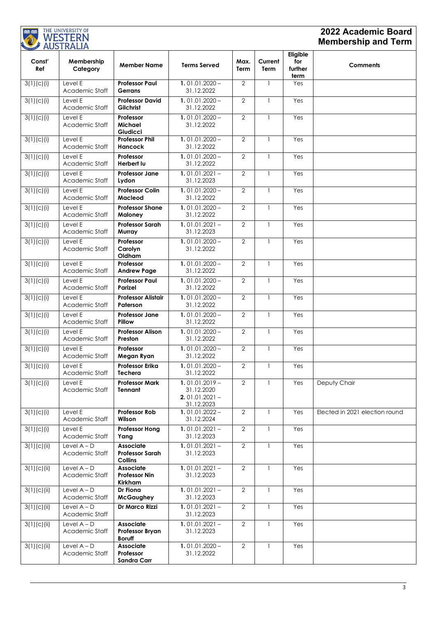| <b>: 图图: : 图图:</b> | THE UNIVERSITY OF<br>WESTERN<br><b>AUSTRALIA</b> |                                                              |                                                                  |                |                        |                                    | 2022 Academic Board<br><b>Membership and Term</b> |
|--------------------|--------------------------------------------------|--------------------------------------------------------------|------------------------------------------------------------------|----------------|------------------------|------------------------------------|---------------------------------------------------|
| Const'<br>Ref      | Membership<br>Category                           | <b>Member Name</b>                                           | <b>Terms Served</b>                                              | Max.<br>Term   | Current<br><b>Term</b> | Eligible<br>for<br>further<br>term | <b>Comments</b>                                   |
| 3(1)(c)(i)         | Level E<br>Academic Staff                        | <b>Professor Paul</b><br>Gerrans                             | $1.01.01.2020 -$<br>31.12.2022                                   | 2              | $\mathbf{1}$           | Yes                                |                                                   |
| 3(1)(c)(i)         | Level E<br>Academic Staff                        | <b>Professor David</b><br><b>Gilchrist</b>                   | $1.01.01.2020 -$<br>31.12.2022                                   | 2              | $\mathbf{1}$           | Yes                                |                                                   |
| 3(1)(c)(i)         | Level E<br>Academic Staff                        | Professor<br>Michael<br>Giudicci                             | $1.01.01.2020 -$<br>31.12.2022                                   | $\overline{2}$ | $\mathbf{1}$           | Yes                                |                                                   |
| 3(1)(c)(i)         | Level E<br>Academic Staff                        | <b>Professor Phil</b><br><b>Hancock</b>                      | $1.01.01.2020 -$<br>31.12.2022                                   | 2              | 1                      | Yes                                |                                                   |
| 3(1)(c)(i)         | Level E<br>Academic Staff                        | Professor<br>Herbert lu                                      | $1.01.01.2020 -$<br>31.12.2022                                   | $\overline{2}$ | $\mathbf{1}$           | Yes                                |                                                   |
| 3(1)(c)(i)         | Level E<br>Academic Staff                        | <b>Professor Jane</b><br>Lydon                               | $1.01.01.2021 -$<br>31.12.2023                                   | $\overline{2}$ | $\mathbf{1}$           | Yes                                |                                                   |
| 3(1)(c)(i)         | Level E<br>Academic Staff                        | <b>Professor Colin</b><br>Macleod                            | $1.01.01.2020 -$<br>31.12.2022                                   | $\overline{2}$ | $\mathbf{1}$           | Yes                                |                                                   |
| 3(1)(c)(i)         | Level E<br>Academic Staff                        | <b>Professor Shane</b><br><b>Maloney</b>                     | $1.01.01.2020 -$<br>31.12.2022                                   | $\overline{2}$ | $\mathbf{1}$           | Yes                                |                                                   |
| 3(1)(c)(i)         | Level E<br>Academic Staff                        | <b>Professor Sarah</b><br>Murray                             | $1.01.01.2021 -$<br>31.12.2023                                   | $\overline{2}$ | $\mathbf{1}$           | Yes                                |                                                   |
| 3(1)(c)(i)         | Level E<br>Academic Staff                        | Professor<br>Carolyn<br>Oldham                               | $1.01.01.2020 -$<br>31.12.2022                                   | $\overline{2}$ | 1                      | Yes                                |                                                   |
| 3(1)(c)(i)         | Level E<br>Academic Staff                        | Professor<br><b>Andrew Page</b>                              | $1.01.01.2020 -$<br>31.12.2022                                   | $\overline{2}$ | 1                      | Yes                                |                                                   |
| 3(1)(c)(i)         | Level E<br>Academic Staff                        | <b>Professor Paul</b><br>Parizel                             | $1.01.01.2020 -$<br>31.12.2022                                   | 2              | $\mathbf{1}$           | Yes                                |                                                   |
| 3(1)(c)(i)         | Level E<br>Academic Staff                        | <b>Professor Alistair</b><br>Paterson                        | $1.01.01.2020 -$<br>31.12.2022                                   | 2              | $\mathbf{1}$           | Yes                                |                                                   |
| 3(1)(c)(i)         | Level E<br>Academic Staff                        | <b>Professor Jane</b><br>Pillow                              | $1.01.01.2020 -$<br>31.12.2022                                   | 2              | $\mathbf{1}$           | Yes                                |                                                   |
| 3(1)(c)(i)         | Level E<br>Academic Staff                        | <b>Professor Alison</b><br>Preston                           | $1.01.01.2020 -$<br>31.12.2022                                   | $\overline{2}$ | $\mathbf{1}$           | Yes                                |                                                   |
| 3(1)(c)(i)         | Level E<br>Academic Staff                        | Professor<br>Megan Ryan                                      | $1.01.01.2020 -$<br>31.12.2022                                   | 2              | $\mathbf{1}$           | Yes                                |                                                   |
| 3(1)(c)(i)         | Level E<br>Academic Staff                        | Professor Erika<br>Techera                                   | $1.01.01.2020 -$<br>31.12.2022                                   | $\overline{2}$ | $\overline{1}$         | Yes                                |                                                   |
| 3(1)(c)(i)         | Level E<br>Academic Staff                        | <b>Professor Mark</b><br>Tennant                             | $1.01.01.2019 -$<br>31.12.2020<br>$2.01.01.2021 -$<br>31.12.2023 | $\overline{2}$ | $\mathbf{1}$           | Yes                                | Deputy Chair                                      |
| 3(1)(c)(i)         | Level E<br>Academic Staff                        | <b>Professor Rob</b><br>Wilson                               | $1.01.01.2022 -$<br>31.12.2024                                   | $\overline{2}$ | $\mathbf{1}$           | Yes                                | Elected in 2021 election round                    |
| 3(1)(c)(i)         | Level E<br>Academic Staff                        | <b>Professor Hong</b><br>Yang                                | $1.01.01.2021 -$<br>31.12.2023                                   | $\overline{2}$ | $\mathbf{1}$           | Yes                                |                                                   |
| 3(1)(c)(ii)        | Level $A - D$<br>Academic Staff                  | <b>Associate</b><br><b>Professor Sarah</b><br><b>Collins</b> | $1.01.01.2021 -$<br>31.12.2023                                   | $\overline{2}$ | $\mathbf{1}$           | Yes                                |                                                   |
| 3(1)(c)(ii)        | Level $A - D$<br>Academic Staff                  | <b>Associate</b><br><b>Professor Nin</b><br>Kirkham          | $1.01.01.2021 -$<br>31.12.2023                                   | $\overline{2}$ | $\mathbf{1}$           | Yes                                |                                                   |
| 3(1)(c)(ii)        | Level $A - D$<br>Academic Staff                  | Dr Fiona<br><b>McGaughey</b>                                 | $1.01.01.2021 -$<br>31.12.2023                                   | $\overline{2}$ | $\mathbf{1}$           | Yes                                |                                                   |
| 3(1)(c)(ii)        | Level $A - D$<br>Academic Staff                  | Dr Marco Rizzi                                               | $1.01.01.2021 -$<br>31.12.2023                                   | $\overline{2}$ | $\mathbf{1}$           | Yes                                |                                                   |
| 3(1)(c)(ii)        | Level $A - D$<br>Academic Staff                  | Associate<br><b>Professor Bryan</b><br><b>Boruff</b>         | $1.01.01.2021 -$<br>31.12.2023                                   | $\overline{2}$ | $\mathbf{1}$           | Yes                                |                                                   |
| 3(1)(c)(ii)        | Level $A - D$<br>Academic Staff                  | Associate<br>Professor<br>Sandra Carr                        | $1.01.01.2020 -$<br>31.12.2022                                   | $\overline{2}$ | $\mathbf{1}$           | Yes                                |                                                   |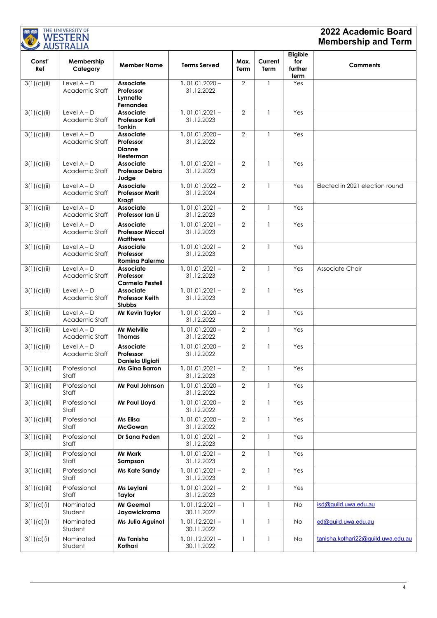| <b>BB: 88</b> | THE UNIVERSITY OF                     |                                                                |                                                    |                                  |                              |                                    | 2022 Academic Board                |
|---------------|---------------------------------------|----------------------------------------------------------------|----------------------------------------------------|----------------------------------|------------------------------|------------------------------------|------------------------------------|
|               | WESTERN<br><b>AUSTRALIA</b>           |                                                                |                                                    |                                  |                              |                                    | <b>Membership and Term</b>         |
| Const'<br>Ref | Membership<br>Category                | <b>Member Name</b>                                             | <b>Terms Served</b>                                | Max.<br>Term                     | Current<br>Term              | Eligible<br>for<br>further<br>term | <b>Comments</b>                    |
| 3(1)(c)(ii)   | Level $A - D$<br>Academic Staff       | <b>Associate</b><br>Professor<br>Lynnette<br><b>Fernandes</b>  | $1.01.01.2020 -$<br>31.12.2022                     | $\overline{2}$                   | $\mathbf{1}$                 | Yes                                |                                    |
| 3(1)(c)(ii)   | Level $A - D$<br>Academic Staff       | <b>Associate</b><br><b>Professor Kati</b><br><b>Tonkin</b>     | $1.01.01.2021 -$<br>31.12.2023                     | $\overline{2}$                   | $\mathbf{1}$                 | Yes                                |                                    |
| 3(1)(c)(ii)   | Level $A - D$<br>Academic Staff       | <b>Associate</b><br>Professor<br><b>Dianne</b><br>Hesterman    | $1.01.01.2020 -$<br>31.12.2022                     | $\overline{2}$                   | $\mathbf{1}$                 | Yes                                |                                    |
| 3(1)(c)(ii)   | Level $A - D$<br>Academic Staff       | <b>Associate</b><br><b>Professor Debra</b><br>Judge            | $1.01.01.2021 -$<br>31.12.2023                     | 2                                | $\mathbf{1}$                 | Yes                                |                                    |
| 3(1)(c)(ii)   | Level $A - D$<br>Academic Staff       | <b>Associate</b><br><b>Professor Marit</b><br>Kragt            | $1.01.01.2022 -$<br>31.12.2024                     | $\overline{2}$                   | $\mathbf{1}$                 | Yes                                | Elected in 2021 election round     |
| 3(1)(c)(ii)   | Level $A - D$<br>Academic Staff       | <b>Associate</b><br>Professor Ian Li                           | $1.01.01.2021 -$<br>31.12.2023                     | 2                                | $\mathbf{1}$                 | Yes                                |                                    |
| 3(1)(c)(ii)   | Level $A - D$<br>Academic Staff       | <b>Associate</b><br><b>Professor Miccal</b><br><b>Matthews</b> | $1.01.01.2021 -$<br>31.12.2023                     | $\overline{2}$                   | $\mathbf{1}$                 | Yes                                |                                    |
| 3(1)(c)(ii)   | Level $A - D$<br>Academic Staff       | <b>Associate</b><br>Professor<br><b>Romina Palermo</b>         | $1.01.01.2021 -$<br>31.12.2023                     | $\overline{2}$                   | $\mathbf{1}$                 | Yes                                |                                    |
| 3(1)(c)(ii)   | Level $A - D$<br>Academic Staff       | <b>Associate</b><br>Professor<br><b>Carmela Pestell</b>        | $1.01.01.2021 -$<br>31.12.2023                     | $\overline{2}$                   | $\overline{\phantom{a}}$     | Yes                                | Associate Chair                    |
| 3(1)(c)(ii)   | Level $A - D$<br>Academic Staff       | <b>Associate</b><br><b>Professor Keith</b><br><b>Stubbs</b>    | $1.01.01.2021 -$<br>31.12.2023                     | $\overline{2}$                   | -1                           | Yes                                |                                    |
| 3(1)(c)(ii)   | Level $A - D$<br>Academic Staff       | Mr Kevin Taylor                                                | $1.01.01.2020 -$<br>31.12.2022                     | $\overline{2}$                   | $\overline{\phantom{a}}$     | Yes                                |                                    |
| 3(1)(c)(ii)   | Level $A - D$<br>Academic Staff       | <b>Mr Melville</b><br><b>Thomas</b>                            | $1.01.01.2020 -$<br>31.12.2022                     | 2                                | $\mathbf{1}$                 | Yes                                |                                    |
| 3(1)(c)(ii)   | Level $A - D$<br>Academic Staff       | <b>Associate</b><br>Professor<br>Daniela Ulgiati               | $1.01.01.2020 -$<br>31.12.2022                     | $\overline{2}$                   | $\mathbf{1}$                 | Yes                                |                                    |
| 3(1)(c)(iii)  | Professional<br>Staff                 | <b>Ms Gina Barron</b>                                          | $1.01.01.2021 -$<br>31.12.2023                     | $\overline{2}$                   | $\mathbf{1}$                 | Yes                                |                                    |
| 3(1)(c)(iii)  | Professional<br>Staff                 | Mr Paul Johnson                                                | $1.01.01.2020 -$<br>31.12.2022                     | $\overline{2}$                   | $\mathbf{1}$                 | Yes                                |                                    |
| 3(1)(c)(iii)  | Professional<br>Staff                 | Mr Paul Lloyd                                                  | $1.01.01.2020 -$<br>31.12.2022                     | $\overline{2}$                   | $\mathbf{1}$                 | Yes                                |                                    |
| 3(1)(c)(iii)  | Professional<br>Staff<br>Professional | Ms Elisa<br><b>McGowan</b><br>Dr Sana Peden                    | $1.01.01.2020 -$<br>31.12.2022<br>$1.01.01.2021 -$ | $\overline{2}$<br>$\overline{2}$ | $\mathbf{1}$<br>$\mathbf{1}$ | Yes<br>Yes                         |                                    |
| 3(1)(c)(iii)  | Staff                                 |                                                                | 31.12.2023                                         |                                  |                              |                                    |                                    |
| 3(1)(c)(iii)  | Professional<br>Staff                 | Mr Mark<br>Sampson                                             | $1.01.01.2021 -$<br>31.12.2023                     | $\overline{2}$                   | $\mathbf{1}$                 | Yes                                |                                    |
| 3(1)(c)(iii)  | Professional<br>Staff                 | Ms Kate Sandy                                                  | $1.01.01.2021 -$<br>31.12.2023                     | $\overline{2}$                   | $\mathbf{1}$                 | Yes                                |                                    |
| 3(1)(c)(iii)  | Professional<br>Staff                 | Ms Leylani<br>Taylor                                           | $1.01.01.2021 -$<br>31.12.2023                     | $\overline{2}$                   | $\mathbf{1}$                 | Yes                                |                                    |
| 3(1)(d)(i)    | Nominated<br>Student                  | <b>Mr Geemal</b><br>Jayawickrama                               | $1.01.12.2021 -$<br>30.11.2022                     | $\mathbf{1}$                     | $\mathbf{1}$                 | <b>No</b>                          | isd@guild.uwa.edu.au               |
| 3(1)(d)(i)    | Nominated<br>Student                  | Ms Julia Aguinot                                               | $1.01.12.2021 -$<br>30.11.2022                     | $\mathbf{1}$                     | $\mathbf{1}$                 | <b>No</b>                          | ed@guild.uwa.edu.au                |
| 3(1)(d)(i)    | Nominated<br>Student                  | Ms Tanisha<br>Kothari                                          | $1.01.12.2021 -$<br>30.11.2022                     | $\mathbf{1}$                     | $\mathbf{1}$                 | No                                 | tanisha.kothari22@guild.uwa.edu.au |

**BOLDER:** THE UNIVERSITY OF